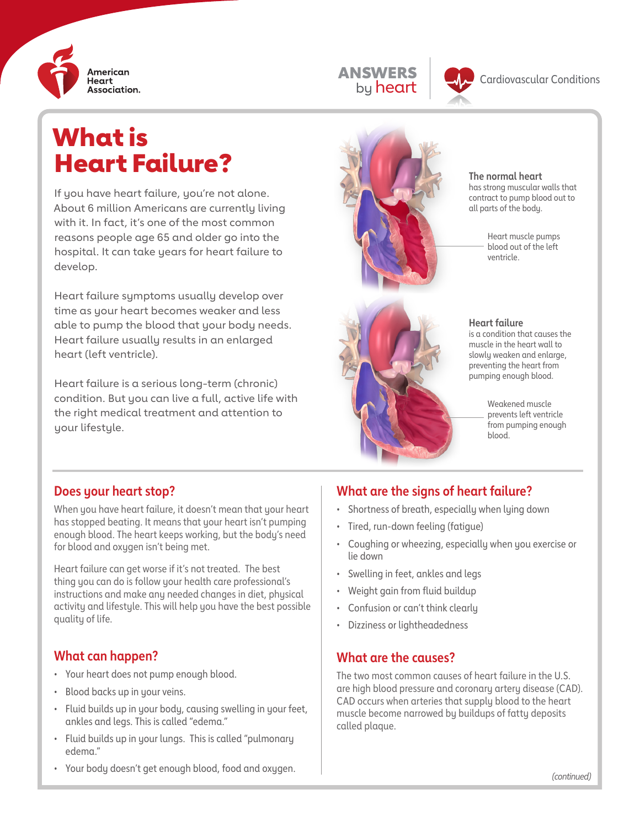



# What is **Heart Failure?** All The normal heart

If you have heart failure, you're not alone. About 6 million Americans are currently living with it. In fact, it's one of the most common reasons people age 65 and older go into the hospital. It can take years for heart failure to develop.

Heart failure symptoms usually develop over time as your heart becomes weaker and less able to pump the blood that your body needs. Heart failure usually results in an enlarged heart (left ventricle).

Heart failure is a serious long-term (chronic) condition. But you can live a full, active life with the right medical treatment and attention to your lifestyle.



has strong muscular walls that contract to pump blood out to all parts of the body.

> Heart muscle pumps blood out of the left ventricle.



#### **Heart failure**

is a condition that causes the muscle in the heart wall to slowly weaken and enlarge, preventing the heart from pumping enough blood.

> Weakened muscle prevents left ventricle from pumping enough blood.

## **Does your heart stop?**

When you have heart failure, it doesn't mean that your heart has stopped beating. It means that your heart isn't pumping enough blood. The heart keeps working, but the body's need for blood and oxygen isn't being met.

Heart failure can get worse if it's not treated. The best thing you can do is follow your health care professional's instructions and make any needed changes in diet, physical activity and lifestyle. This will help you have the best possible quality of life.

## **What can happen?**

- Your heart does not pump enough blood.
- Blood backs up in your veins.
- Fluid builds up in your body, causing swelling in your feet, ankles and legs. This is called "edema."
- Fluid builds up in your lungs. This is called "pulmonary edema."
- **What are the signs of heart failure?**
- Shortness of breath, especially when lying down
- Tired, run-down feeling (fatigue)
- Coughing or wheezing, especially when you exercise or lie down
- Swelling in feet, ankles and legs
- Weight gain from fluid buildup
- Confusion or can't think clearly
- Dizziness or lightheadedness

## **What are the causes?**

The two most common causes of heart failure in the U.S. are high blood pressure and coronary artery disease (CAD). CAD occurs when arteries that supply blood to the heart muscle become narrowed by buildups of fatty deposits called plaque.

• Your body doesn't get enough blood, food and oxygen.